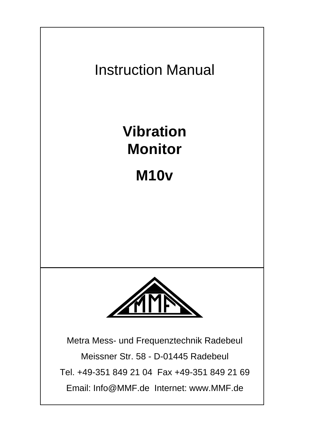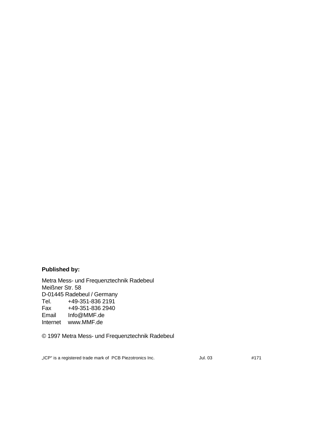#### **Published by:**

Metra Mess- und Frequenztechnik Radebeul Meißner Str. 58 D-01445 Radebeul / Germany<br>Tel. +49-351-836 2191 +49-351-836 2191 Fax +49-351-836 2940<br>Email Info@MMF.de Info@MMF.de Internet www.MMF.de

© 1997 Metra Mess- und Frequenztechnik Radebeul

"ICP" is a registered trade mark of PCB Piezotronics Inc. Jul. 03 #171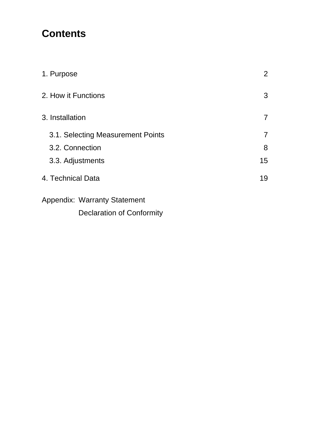# **Contents**

| 1. Purpose                        | 2  |
|-----------------------------------|----|
| 2. How it Functions               | 3  |
| 3. Installation                   | 7  |
| 3.1. Selecting Measurement Points | 7  |
| 3.2. Connection                   | 8  |
| 3.3. Adjustments                  | 15 |
| 4. Technical Data                 | 19 |
|                                   |    |

Appendix: Warranty Statement Declaration of Conformity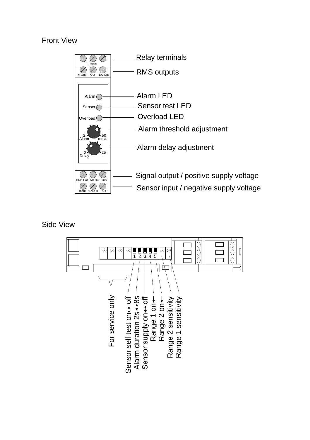#### Front View



Side View

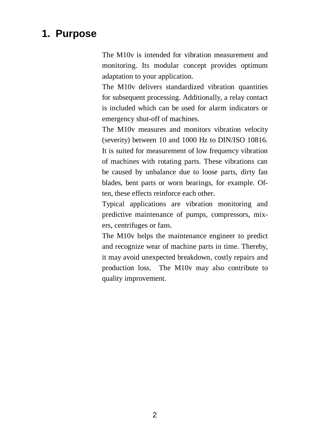#### **1. Purpose**

The M10v is intended for vibration measurement and monitoring. Its modular concept provides optimum adaptation to your application.

The M10v delivers standardized vibration quantities for subsequent processing. Additionally, a relay contact is included which can be used for alarm indicators or emergency shut-off of machines.

The M10v measures and monitors vibration velocity (severity) between 10 and 1000 Hz to DIN/ISO 10816. It is suited for measurement of low frequency vibration of machines with rotating parts. These vibrations can be caused by unbalance due to loose parts, dirty fan blades, bent parts or worn bearings, for example. Often, these effects reinforce each other.

Typical applications are vibration monitoring and predictive maintenance of pumps, compressors, mixers, centrifuges or fans.

The M10v helps the maintenance engineer to predict and recognize wear of machine parts in time. Thereby, it may avoid unexpected breakdown, costly repairs and production loss. The M10v may also contribute to quality improvement.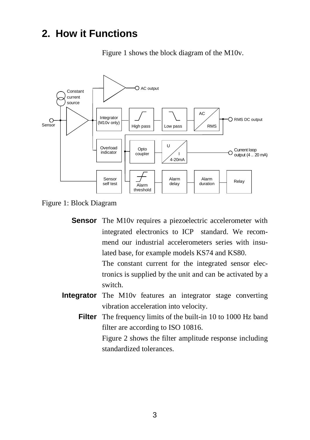# **2. How it Functions**

Figure 1 shows the block diagram of the M10v.



Figure 1: Block Diagram

- **Sensor** The M10v requires a piezoelectric accelerometer with integrated electronics to  $ICP^{\circledcirc}$  standard. We recommend our industrial accelerometers series with insulated base, for example models KS74 and KS80. The constant current for the integrated sensor electronics is supplied by the unit and can be activated by a switch.
- **Integrator** The M10v features an integrator stage converting vibration acceleration into velocity.
	- **Filter** The frequency limits of the built-in 10 to 1000 Hz band filter are according to ISO 10816.

Figure 2 shows the filter amplitude response including standardized tolerances.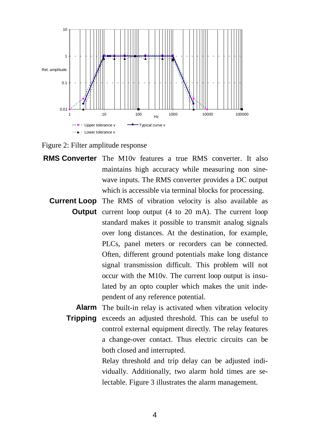

Figure 2: Filter amplitude response

- **RMS Converter** The M10v features a true RMS converter. It also maintains high accuracy while measuring non sinewave inputs. The RMS converter provides a DC output which is accessible via terminal blocks for processing.
	- **Current Loop** The RMS of vibration velocity is also available as **Output** current loop output (4 to 20 mA). The current loop standard makes it possible to transmit analog signals over long distances. At the destination, for example, PLCs, panel meters or recorders can be connected. Often, different ground potentials make long distance signal transmission difficult. This problem will not occur with the M10v. The current loop output is insulated by an opto coupler which makes the unit independent of any reference potential.
		- **Alarm** The built-in relay is activated when vibration velocity **Tripping** exceeds an adjusted threshold. This can be useful to control external equipment directly. The relay features a change-over contact. Thus electric circuits can be both closed and interrupted.

Relay threshold and trip delay can be adjusted individually. Additionally, two alarm hold times are selectable. Figure 3 illustrates the alarm management.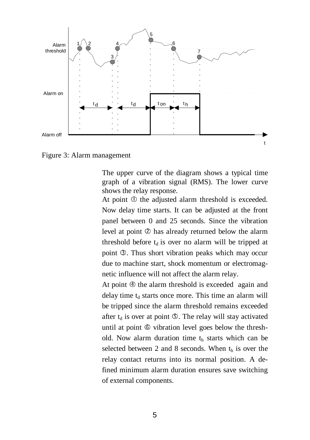

Figure 3: Alarm management

The upper curve of the diagram shows a typical time graph of a vibration signal (RMS). The lower curve shows the relay response.

At point  $\Phi$  the adjusted alarm threshold is exceeded. Now delay time starts. It can be adjusted at the front panel between 0 and 25 seconds. Since the vibration level at point  $@$  has already returned below the alarm threshold before  $t_d$  is over no alarm will be tripped at point **3**. Thus short vibration peaks which may occur due to machine start, shock momentum or electromagnetic influence will not affect the alarm relay.

At point  $\Phi$  the alarm threshold is exceeded again and delay time  $t_d$  starts once more. This time an alarm will be tripped since the alarm threshold remains exceeded after  $t_d$  is over at point  $\circledS$ . The relay will stay activated until at point  $\Phi$  vibration level goes below the threshold. Now alarm duration time  $t<sub>h</sub>$  starts which can be selected between 2 and 8 seconds. When  $t<sub>h</sub>$  is over the relay contact returns into its normal position. A defined minimum alarm duration ensures save switching of external components.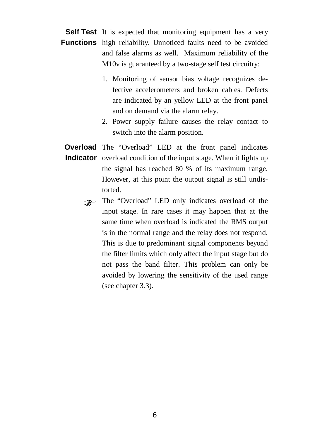- Self Test It is expected that monitoring equipment has a very **Functions** high reliability. Unnoticed faults need to be avoided and false alarms as well. Maximum reliability of the M10v is guaranteed by a two-stage self test circuitry:
	- 1. Monitoring of sensor bias voltage recognizes defective accelerometers and broken cables. Defects are indicated by an yellow LED at the front panel and on demand via the alarm relay.
	- 2. Power supply failure causes the relay contact to switch into the alarm position.

**Overload** The "Overload" LED at the front panel indicates **Indicator** overload condition of the input stage. When it lights up the signal has reached 80 % of its maximum range. However, at this point the output signal is still undistorted.  $\overline{a}$ 

 $\epsilon$  The "Overload" LED only indicates overload of the input stage. In rare cases it may happen that at the same time when overload is indicated the RMS output is in the normal range and the relay does not respond. This is due to predominant signal components beyond the filter limits which only affect the input stage but do not pass the band filter. This problem can only be avoided by lowering the sensitivity of the used range (see chapter 3.3).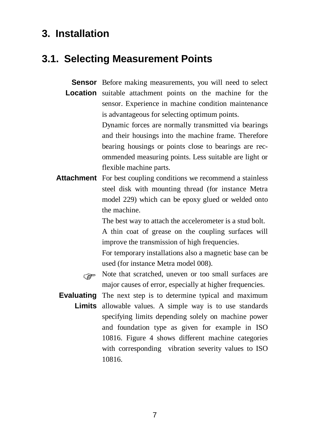## **3. Installation**

## **3.1. Selecting Measurement Points**

**Sensor** Before making measurements, you will need to select **Location** suitable attachment points on the machine for the sensor. Experience in machine condition maintenance is advantageous for selecting optimum points.

> Dynamic forces are normally transmitted via bearings and their housings into the machine frame. Therefore bearing housings or points close to bearings are recommended measuring points. Less suitable are light or flexible machine parts.

**Attachment** For best coupling conditions we recommend a stainless steel disk with mounting thread (for instance Metra model 229) which can be epoxy glued or welded onto the machine.

> The best way to attach the accelerometer is a stud bolt. A thin coat of grease on the coupling surfaces will

improve the transmission of high frequencies.

For temporary installations also a magnetic base can be used (for instance Metra model 008).

 $\overline{a}$ Note that scratched, uneven or too small surfaces are major causes of error, especially at higher frequencies.

**Evaluating** The next step is to determine typical and maximum **Limits** allowable values. A simple way is to use standards specifying limits depending solely on machine power and foundation type as given for example in ISO 10816. Figure 4 shows different machine categories with corresponding vibration severity values to ISO 10816.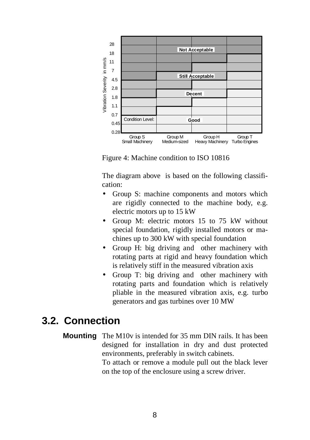

Figure 4: Machine condition to ISO 10816

The diagram above is based on the following classification:

- Group S: machine components and motors which are rigidly connected to the machine body, e.g. electric motors up to 15 kW
- Group M: electric motors 15 to 75 kW without special foundation, rigidly installed motors or machines up to 300 kW with special foundation
- Group H: big driving and other machinery with rotating parts at rigid and heavy foundation which is relatively stiff in the measured vibration axis
- Group T: big driving and other machinery with rotating parts and foundation which is relatively pliable in the measured vibration axis, e.g. turbo generators and gas turbines over 10 MW

# **3.2. Connection**

**Mounting** The M10v is intended for 35 mm DIN rails. It has been designed for installation in dry and dust protected environments, preferably in switch cabinets. To attach or remove a module pull out the black lever

on the top of the enclosure using a screw driver.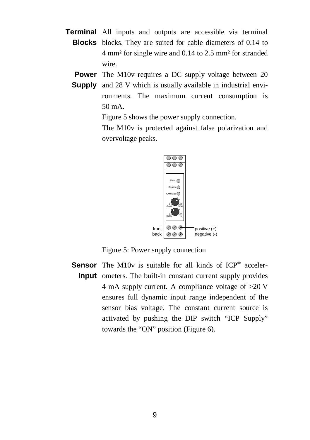- **Terminal** All inputs and outputs are accessible via terminal **Blocks** blocks. They are suited for cable diameters of 0.14 to 4 mm² for single wire and 0.14 to 2.5 mm² for stranded wire.
	- **Power** The M10v requires a DC supply voltage between 20
	- **Supply** and 28 V which is usually available in industrial environments. The maximum current consumption is 50 mA.

Figure 5 shows the power supply connection.

The M10v is protected against false polarization and overvoltage peaks.



Figure 5: Power supply connection

**Sensor** The M10v is suitable for all kinds of ICP® acceler-**Input** ometers. The built-in constant current supply provides 4 mA supply current. A compliance voltage of >20 V ensures full dynamic input range independent of the sensor bias voltage. The constant current source is activated by pushing the DIP switch "ICP Supply" towards the "ON" position (Figure 6).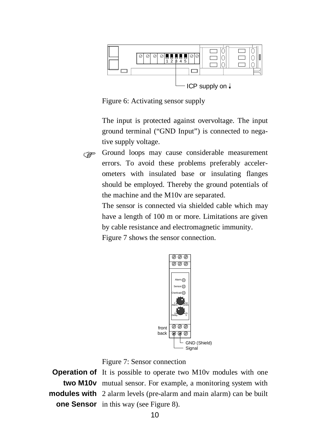

Figure 6: Activating sensor supply

The input is protected against overvoltage. The input ground terminal ("GND Input") is connected to negative supply voltage.

 $\overline{a}$ Ground loops may cause considerable measurement errors. To avoid these problems preferably accelerometers with insulated base or insulating flanges should be employed. Thereby the ground potentials of the machine and the M10v are separated.

The sensor is connected via shielded cable which may have a length of 100 m or more. Limitations are given by cable resistance and electromagnetic immunity.

Figure 7 shows the sensor connection.



Figure 7: Sensor connection

**Operation of** It is possible to operate two M10v modules with one **two M10v** mutual sensor. For example, a monitoring system with **modules with** 2 alarm levels (pre-alarm and main alarm) can be built **one Sensor** in this way (see Figure 8).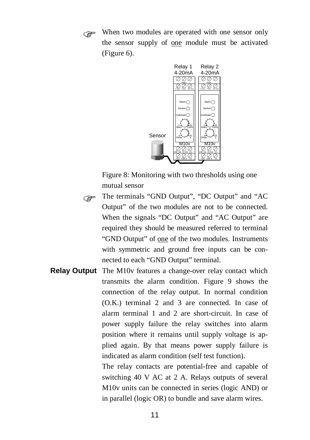$\overline{a}$ When two modules are operated with one sensor only the sensor supply of one module must be activated (Figure 6).



Figure 8: Monitoring with two thresholds using one mutual sensor

- $\overline{a}$ The terminals "GND Output", "DC Output" and "AC Output" of the two modules are not to be connected. When the signals "DC Output" and "AC Output" are required they should be measured referred to terminal "GND Output" of one of the two modules. Instruments with symmetric and ground free inputs can be connected to each "GND Output" terminal.
- **Relay Output** The M10v features a change-over relay contact which transmits the alarm condition. Figure 9 shows the connection of the relay output. In normal condition (O.K.) terminal 2 and 3 are connected. In case of alarm terminal 1 and 2 are short-circuit. In case of power supply failure the relay switches into alarm position where it remains until supply voltage is applied again. By that means power supply failure is indicated as alarm condition (self test function).

The relay contacts are potential-free and capable of switching 40 V AC at 2 A. Relays outputs of several M10v units can be connected in series (logic AND) or in parallel (logic OR) to bundle and save alarm wires.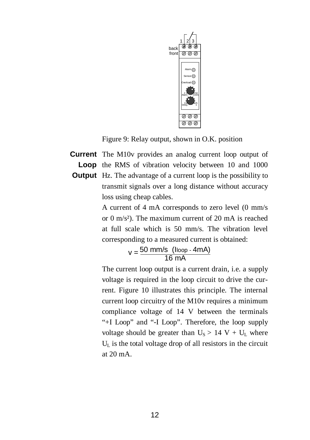

Figure 9: Relay output, shown in O.K. position

**Current** The M10v provides an analog current loop output of

Loop the RMS of vibration velocity between 10 and 1000

**Output** Hz. The advantage of a current loop is the possibility to transmit signals over a long distance without accuracy loss using cheap cables.

> A current of 4 mA corresponds to zero level (0 mm/s or 0 m/s²). The maximum current of 20 mA is reached at full scale which is 50 mm/s. The vibration level corresponding to a measured current is obtained:

> > 50 mm/s (Iloop - 4mA)  $v = \frac{50 \text{ min/s}}{16 \text{ mA}}$

The current loop output is a current drain, i.e. a supply voltage is required in the loop circuit to drive the current. Figure 10 illustrates this principle. The internal current loop circuitry of the M10v requires a minimum compliance voltage of 14 V between the terminals "+I Loop" and "-I Loop". Therefore, the loop supply voltage should be greater than  $U_s > 14$  V +  $U_L$  where  $U_{I}$  is the total voltage drop of all resistors in the circuit at 20 mA.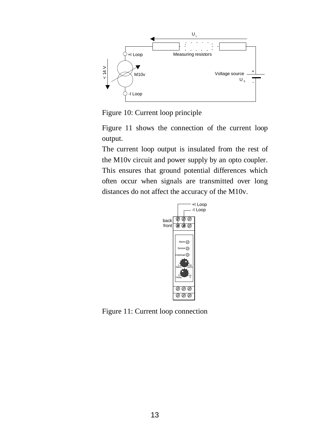

Figure 10: Current loop principle

Figure 11 shows the connection of the current loop output.

The current loop output is insulated from the rest of the M10v circuit and power supply by an opto coupler. This ensures that ground potential differences which often occur when signals are transmitted over long distances do not affect the accuracy of the M10v.



Figure 11: Current loop connection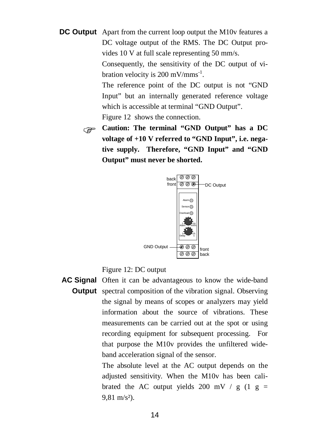**DC Output** Apart from the current loop output the M10v features a DC voltage output of the RMS. The DC Output provides 10 V at full scale representing 50 mm/s.

> Consequently, the sensitivity of the DC output of vibration velocity is  $200 \text{ mV/mm}^{-1}$ .

> The reference point of the DC output is not "GND Input" but an internally generated reference voltage which is accessible at terminal "GND Output".

Figure 12 shows the connection.

 $\overline{a}$ **Caution:** The terminal "GND Output" has a DC **voltage of +10 V referred to "GND Input", i.e. negative supply. Therefore, "GND Input" and "GND Output" must never be shorted.**



Figure 12: DC output

**AC Signal** Often it can be advantageous to know the wide-band **Output** spectral composition of the vibration signal. Observing the signal by means of scopes or analyzers may yield information about the source of vibrations. These measurements can be carried out at the spot or using recording equipment for subsequent processing. For that purpose the M10v provides the unfiltered wideband acceleration signal of the sensor.

> The absolute level at the AC output depends on the adjusted sensitivity. When the M10v has been calibrated the AC output yields 200 mV / g  $(1 g =$  $9,81 \text{ m/s}^2$ ).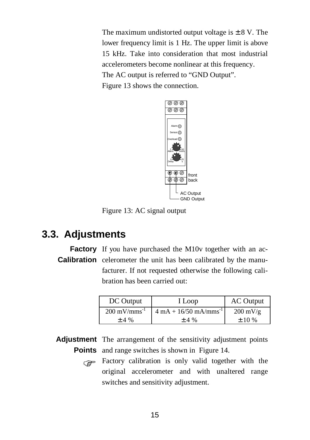The maximum undistorted output voltage is  $\pm 8$  V. The lower frequency limit is 1 Hz. The upper limit is above 15 kHz. Take into consideration that most industrial accelerometers become nonlinear at this frequency.

The AC output is referred to "GND Output".

Figure 13 shows the connection.



Figure 13: AC signal output

### **3.3. Adjustments**

Factory If you have purchased the M10v together with an ac-**Calibration** celerometer the unit has been calibrated by the manufacturer. If not requested otherwise the following calibration has been carried out:

| DC Output                | I Loop                                    | AC Output          |
|--------------------------|-------------------------------------------|--------------------|
| $200 \text{ mV/mm}^{-1}$ | $4 \text{ mA} + 16/50 \text{ mA/mm}^{-1}$ | $200 \text{ mV/g}$ |
| ±4%                      | $\pm$ 4 %                                 | ± 10%              |

**Adjustment** The arrangement of the sensitivity adjustment points **Points** and range switches is shown in Figure 14.

Factory calibration is only valid together with the original accelerometer and with unaltered range switches and sensitivity adjustment.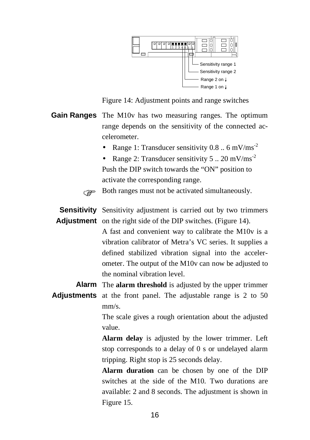

Figure 14: Adjustment points and range switches

- **Gain Ranges** The M10v has two measuring ranges. The optimum range depends on the sensitivity of the connected accelerometer.
	- Range 1: Transducer sensitivity  $0.8 \dots 6 \text{ mV/ms}^{-2}$
	- Range 2: Transducer sensitivity  $5 \dots 20$  mV/ms<sup>-2</sup> Push the DIP switch towards the "ON" position to activate the corresponding range.

తా Both ranges must not be activated simultaneously.

Sensitivity Sensitivity adjustment is carried out by two trimmers Adjustment on the right side of the DIP switches. (Figure 14).

> A fast and convenient way to calibrate the M10v is a vibration calibrator of Metra's VC series. It supplies a defined stabilized vibration signal into the accelerometer. The output of the M10v can now be adjusted to the nominal vibration level.

**Alarm** The **alarm threshold** is adjusted by the upper trimmer

**Adjustments** at the front panel. The adjustable range is 2 to 50 mm/s.

> The scale gives a rough orientation about the adjusted value.

> **Alarm delay** is adjusted by the lower trimmer. Left stop corresponds to a delay of 0 s or undelayed alarm tripping. Right stop is 25 seconds delay.

> **Alarm duration** can be chosen by one of the DIP switches at the side of the M10. Two durations are available: 2 and 8 seconds. The adjustment is shown in Figure 15.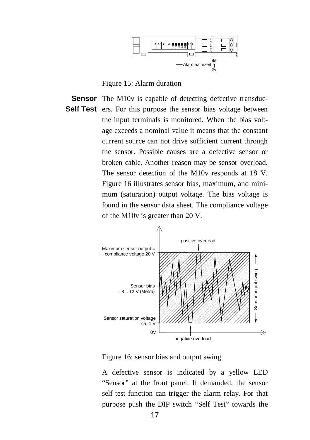

Figure 15: Alarm duration

**Sensor** The M10v is capable of detecting defective transduc-Self Test ers. For this purpose the sensor bias voltage between the input terminals is monitored. When the bias voltage exceeds a nominal value it means that the constant current source can not drive sufficient current through the sensor. Possible causes are a defective sensor or broken cable. Another reason may be sensor overload. The sensor detection of the M10v responds at 18 V. Figure 16 illustrates sensor bias, maximum, and minimum (saturation) output voltage. The bias voltage is found in the sensor data sheet. The compliance voltage of the M10v is greater than 20 V.



Figure 16: sensor bias and output swing

A defective sensor is indicated by a yellow LED "Sensor" at the front panel. If demanded, the sensor self test function can trigger the alarm relay. For that purpose push the DIP switch "Self Test" towards the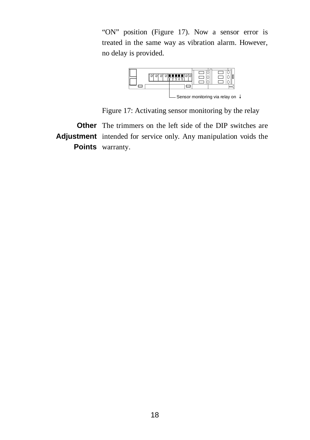"ON" position (Figure 17). Now a sensor error is treated in the same way as vibration alarm. However, no delay is provided.



Figure 17: Activating sensor monitoring by the relay

**Other** The trimmers on the left side of the DIP switches are **Adjustment** intended for service only. Any manipulation voids the **Points** warranty.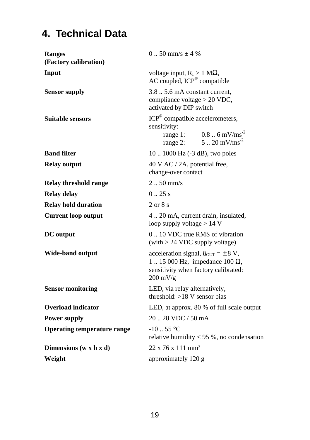# **4. Technical Data**

| <b>Ranges</b><br>(Factory calibration) | $0.50$ mm/s $\pm$ 4 %                                                                                                                                            |  |
|----------------------------------------|------------------------------------------------------------------------------------------------------------------------------------------------------------------|--|
| Input                                  | voltage input, $R_I > 1 M\Omega$ ,<br>AC coupled, ICP® compatible                                                                                                |  |
| <b>Sensor supply</b>                   | 3.8  5.6 mA constant current,<br>compliance voltage > 20 VDC,<br>activated by DIP switch                                                                         |  |
| <b>Suitable sensors</b>                | ICP® compatible accelerometers,<br>sensitivity:<br>range 1: $0.8 \dots 6 \text{ mV/ms}^{-2}$<br>range 2: $5 \cdot .20 \text{ mV/ms}^{-2}$                        |  |
| <b>Band filter</b>                     | $101000$ Hz $(-3$ dB), two poles                                                                                                                                 |  |
| <b>Relay output</b>                    | 40 V AC / 2A, potential free,<br>change-over contact                                                                                                             |  |
| <b>Relay threshold range</b>           | $2-.50$ mm/s                                                                                                                                                     |  |
| <b>Relay delay</b>                     | 0.25 s                                                                                                                                                           |  |
| <b>Relay hold duration</b>             | $2$ or $8$ s                                                                                                                                                     |  |
| <b>Current loop output</b>             | 420 mA, current drain, insulated,<br>loop supply voltage $> 14$ V                                                                                                |  |
| DC output                              | 010 VDC true RMS of vibration<br>(with > 24 VDC supply voltage)                                                                                                  |  |
| Wide-band output                       | acceleration signal, $\hat{u}_{OUT} = \pm 8 \text{ V}$ ,<br>1  15 000 Hz, impedance 100 $\Omega$ ,<br>sensitivity when factory calibrated:<br>$200 \text{ mV/g}$ |  |
| <b>Sensor monitoring</b>               | LED, via relay alternatively,<br>threshold: $>18$ V sensor bias                                                                                                  |  |
| <b>Overload indicator</b>              | LED, at approx. 80 % of full scale output                                                                                                                        |  |
| <b>Power supply</b>                    | 20.28 VDC / 50 mA                                                                                                                                                |  |
| <b>Operating temperature range</b>     | $-10-.55$ °C<br>relative humidity $< 95$ %, no condensation                                                                                                      |  |
| Dimensions $(w \times h \times d)$     | $22 \times 76 \times 111 \text{ mm}^3$                                                                                                                           |  |
| Weight                                 | approximately 120 g                                                                                                                                              |  |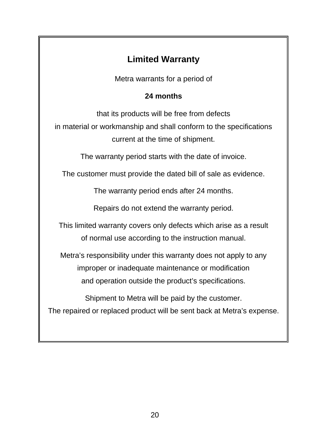## **Limited Warranty**

Metra warrants for a period of

#### **24 months**

that its products will be free from defects in material or workmanship and shall conform to the specifications current at the time of shipment.

The warranty period starts with the date of invoice.

The customer must provide the dated bill of sale as evidence.

The warranty period ends after 24 months.

Repairs do not extend the warranty period.

This limited warranty covers only defects which arise as a result of normal use according to the instruction manual.

Metra's responsibility under this warranty does not apply to any improper or inadequate maintenance or modification and operation outside the product's specifications.

Shipment to Metra will be paid by the customer. The repaired or replaced product will be sent back at Metra's expense.